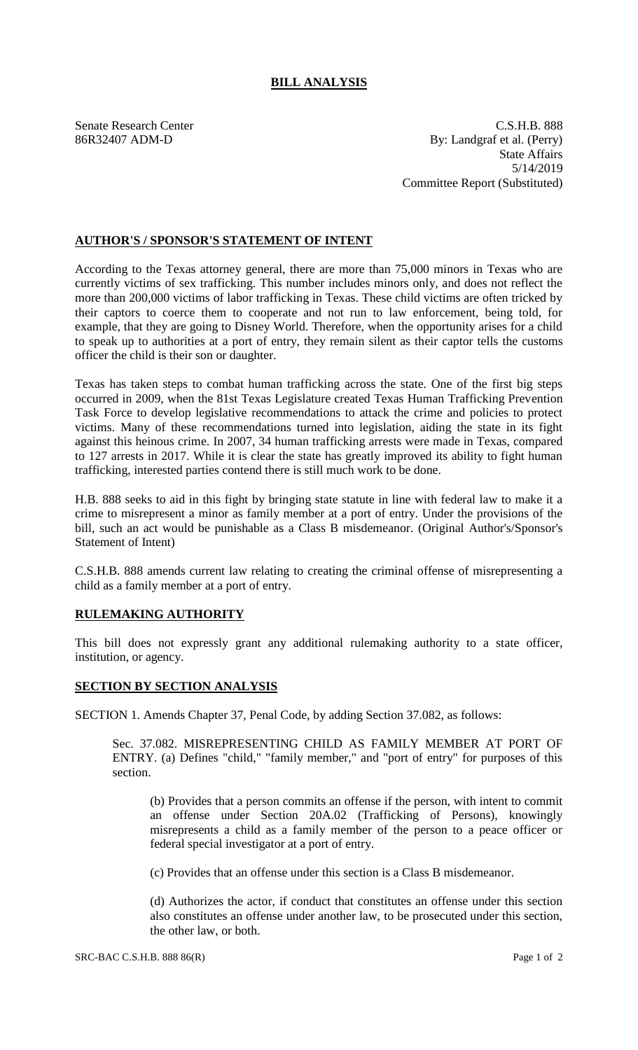## **BILL ANALYSIS**

Senate Research Center C.S.H.B. 888 86R32407 ADM-D By: Landgraf et al. (Perry) State Affairs 5/14/2019 Committee Report (Substituted)

## **AUTHOR'S / SPONSOR'S STATEMENT OF INTENT**

According to the Texas attorney general, there are more than 75,000 minors in Texas who are currently victims of sex trafficking. This number includes minors only, and does not reflect the more than 200,000 victims of labor trafficking in Texas. These child victims are often tricked by their captors to coerce them to cooperate and not run to law enforcement, being told, for example, that they are going to Disney World. Therefore, when the opportunity arises for a child to speak up to authorities at a port of entry, they remain silent as their captor tells the customs officer the child is their son or daughter.

Texas has taken steps to combat human trafficking across the state. One of the first big steps occurred in 2009, when the 81st Texas Legislature created Texas Human Trafficking Prevention Task Force to develop legislative recommendations to attack the crime and policies to protect victims. Many of these recommendations turned into legislation, aiding the state in its fight against this heinous crime. In 2007, 34 human trafficking arrests were made in Texas, compared to 127 arrests in 2017. While it is clear the state has greatly improved its ability to fight human trafficking, interested parties contend there is still much work to be done.

H.B. 888 seeks to aid in this fight by bringing state statute in line with federal law to make it a crime to misrepresent a minor as family member at a port of entry. Under the provisions of the bill, such an act would be punishable as a Class B misdemeanor. (Original Author's/Sponsor's Statement of Intent)

C.S.H.B. 888 amends current law relating to creating the criminal offense of misrepresenting a child as a family member at a port of entry.

## **RULEMAKING AUTHORITY**

This bill does not expressly grant any additional rulemaking authority to a state officer, institution, or agency.

## **SECTION BY SECTION ANALYSIS**

SECTION 1. Amends Chapter 37, Penal Code, by adding Section 37.082, as follows:

Sec. 37.082. MISREPRESENTING CHILD AS FAMILY MEMBER AT PORT OF ENTRY. (a) Defines "child," "family member," and "port of entry" for purposes of this section.

(b) Provides that a person commits an offense if the person, with intent to commit an offense under Section 20A.02 (Trafficking of Persons), knowingly misrepresents a child as a family member of the person to a peace officer or federal special investigator at a port of entry.

(c) Provides that an offense under this section is a Class B misdemeanor.

(d) Authorizes the actor, if conduct that constitutes an offense under this section also constitutes an offense under another law, to be prosecuted under this section, the other law, or both.